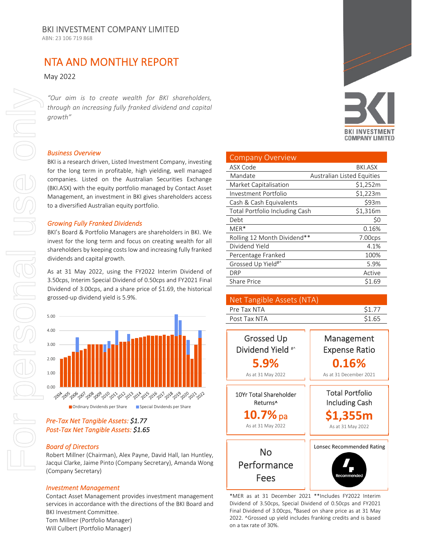ABN: 23 106 719 868

# NTA AND MONTHLY REPORT

May 2022

*"Our aim is to create wealth for BKI shareholders, through an increasing fully franked dividend and capital growth"*

#### *Business Overview*

BKI is a research driven, Listed Investment Company, investing for the long term in profitable, high yielding, well managed companies. Listed on the Australian Securities Exchange (BKI.ASX) with the equity portfolio managed by Contact Asset Management, an investment in BKI gives shareholders access to a diversified Australian equity portfolio.

#### *Growing Fully Franked Dividends*

BKI's Board & Portfolio Managers are shareholders in BKI. We invest for the long term and focus on creating wealth for all shareholders by keeping costs low and increasing fully franked dividends and capital growth.

As at 31 May 2022, using the FY2022 Interim Dividend of 3.50cps, Interim Special Dividend of 0.50cps and FY2021 Final Dividend of 3.00cps, and a share price of \$1.69, the historical grossed‐up dividend yield is 5.9%.



### *Pre‐Tax Net Tangible Assets: \$1.77 Post‐Tax Net Tangible Assets: \$1.65*

#### *Board of Directors*

Robert Millner (Chairman), Alex Payne, David Hall, Ian Huntley, Jacqui Clarke, Jaime Pinto (Company Secretary), Amanda Wong (Company Secretary)

#### *Investment Management*

Contact Asset Management provides investment management services in accordance with the directions of the BKI Board and BKI Investment Committee. Tom Millner (Portfolio Manager)

Will Culbert (Portfolio Manager)



| <b>Company Overview</b>               |                            |
|---------------------------------------|----------------------------|
| ASX Code                              | BKI.ASX                    |
| Mandate                               | Australian Listed Equities |
| Market Capitalisation                 | \$1,252m                   |
| Investment Portfolio                  | \$1,223m                   |
| Cash & Cash Equivalents               | \$93m                      |
| <b>Total Portfolio Including Cash</b> | \$1,316m                   |
| Debt                                  | \$0                        |
| $MER*$                                | 0.16%                      |
| Rolling 12 Month Dividend**           | 7.00cps                    |
| Dividend Yield                        | 4.1%                       |
| Percentage Franked                    | 100%                       |
| Grossed Up Yield <sup>#^</sup>        | 5.9%                       |
| DRP                                   | Active                     |
| <b>Share Price</b>                    | \$1.69                     |

| Net Tangible Assets (NTA) |        |
|---------------------------|--------|
| Pre Tax NTA               | \$1.77 |
| Post Tax NTA              | \$1.65 |



\*MER as at 31 December 2021 \*\*Includes FY2022 Interim Dividend of 3.50cps, Special Dividend of 0.50cps and FY2021 Final Dividend of 3.00cps, #Based on share price as at 31 May 2022. ^Grossed up yield includes franking credits and is based on a tax rate of 30%.